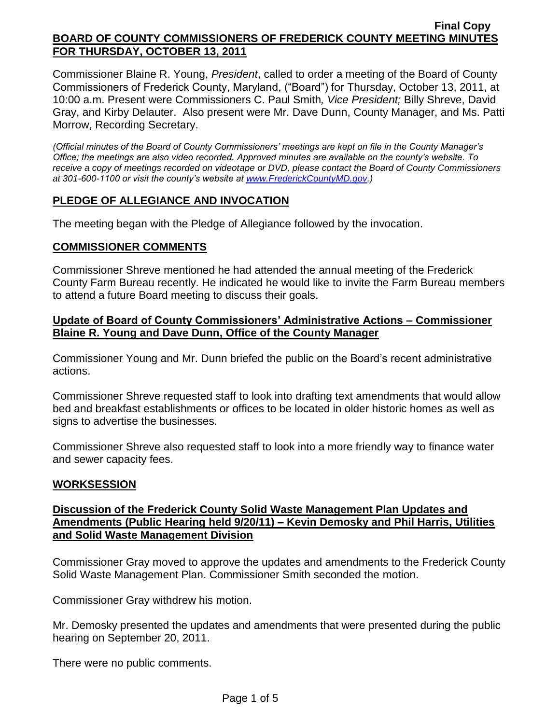Commissioner Blaine R. Young, *President*, called to order a meeting of the Board of County Commissioners of Frederick County, Maryland, ("Board") for Thursday, October 13, 2011, at 10:00 a.m. Present were Commissioners C. Paul Smith*, Vice President;* Billy Shreve, David Gray, and Kirby Delauter. Also present were Mr. Dave Dunn, County Manager, and Ms. Patti Morrow, Recording Secretary.

*(Official minutes of the Board of County Commissioners' meetings are kept on file in the County Manager's Office; the meetings are also video recorded. Approved minutes are available on the county's website. To receive a copy of meetings recorded on videotape or DVD, please contact the Board of County Commissioners at 301-600-1100 or visit the county's website at [www.FrederickCountyMD.gov.](http://www.frederickcountymd.gov/))*

### **PLEDGE OF ALLEGIANCE AND INVOCATION**

The meeting began with the Pledge of Allegiance followed by the invocation.

#### **COMMISSIONER COMMENTS**

Commissioner Shreve mentioned he had attended the annual meeting of the Frederick County Farm Bureau recently. He indicated he would like to invite the Farm Bureau members to attend a future Board meeting to discuss their goals.

#### **Update of Board of County Commissioners' Administrative Actions – Commissioner Blaine R. Young and Dave Dunn, Office of the County Manager**

Commissioner Young and Mr. Dunn briefed the public on the Board's recent administrative actions.

Commissioner Shreve requested staff to look into drafting text amendments that would allow bed and breakfast establishments or offices to be located in older historic homes as well as signs to advertise the businesses.

Commissioner Shreve also requested staff to look into a more friendly way to finance water and sewer capacity fees.

### **WORKSESSION**

## **Discussion of the Frederick County Solid Waste Management Plan Updates and Amendments (Public Hearing held 9/20/11) – Kevin Demosky and Phil Harris, Utilities and Solid Waste Management Division**

Commissioner Gray moved to approve the updates and amendments to the Frederick County Solid Waste Management Plan. Commissioner Smith seconded the motion.

Commissioner Gray withdrew his motion.

Mr. Demosky presented the updates and amendments that were presented during the public hearing on September 20, 2011.

There were no public comments.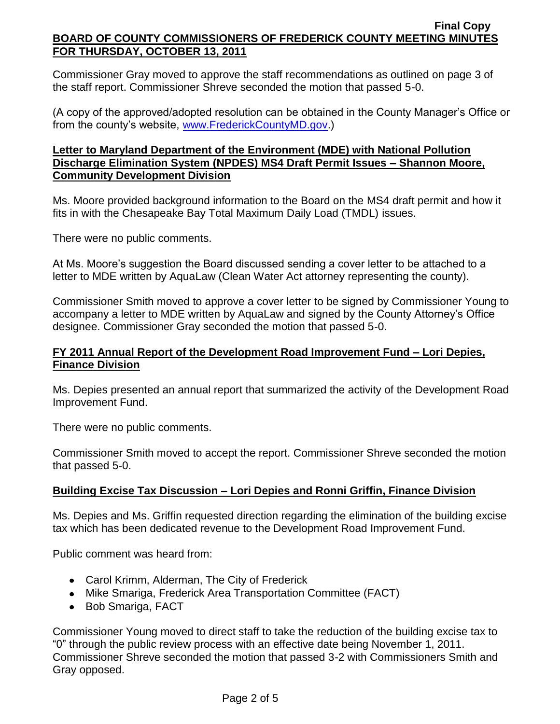Commissioner Gray moved to approve the staff recommendations as outlined on page 3 of the staff report. Commissioner Shreve seconded the motion that passed 5-0.

(A copy of the approved/adopted resolution can be obtained in the County Manager's Office or from the county's website, [www.FrederickCountyMD.gov.](http://www.frederickcountymd.gov/))

### **Letter to Maryland Department of the Environment (MDE) with National Pollution Discharge Elimination System (NPDES) MS4 Draft Permit Issues – Shannon Moore, Community Development Division**

Ms. Moore provided background information to the Board on the MS4 draft permit and how it fits in with the Chesapeake Bay Total Maximum Daily Load (TMDL) issues.

There were no public comments.

At Ms. Moore's suggestion the Board discussed sending a cover letter to be attached to a letter to MDE written by AquaLaw (Clean Water Act attorney representing the county).

Commissioner Smith moved to approve a cover letter to be signed by Commissioner Young to accompany a letter to MDE written by AquaLaw and signed by the County Attorney's Office designee. Commissioner Gray seconded the motion that passed 5-0.

## **FY 2011 Annual Report of the Development Road Improvement Fund – Lori Depies, Finance Division**

Ms. Depies presented an annual report that summarized the activity of the Development Road Improvement Fund.

There were no public comments.

Commissioner Smith moved to accept the report. Commissioner Shreve seconded the motion that passed 5-0.

# **Building Excise Tax Discussion – Lori Depies and Ronni Griffin, Finance Division**

Ms. Depies and Ms. Griffin requested direction regarding the elimination of the building excise tax which has been dedicated revenue to the Development Road Improvement Fund.

Public comment was heard from:

- Carol Krimm, Alderman, The City of Frederick
- Mike Smariga, Frederick Area Transportation Committee (FACT)
- Bob Smariga, FACT

Commissioner Young moved to direct staff to take the reduction of the building excise tax to "0" through the public review process with an effective date being November 1, 2011. Commissioner Shreve seconded the motion that passed 3-2 with Commissioners Smith and Gray opposed.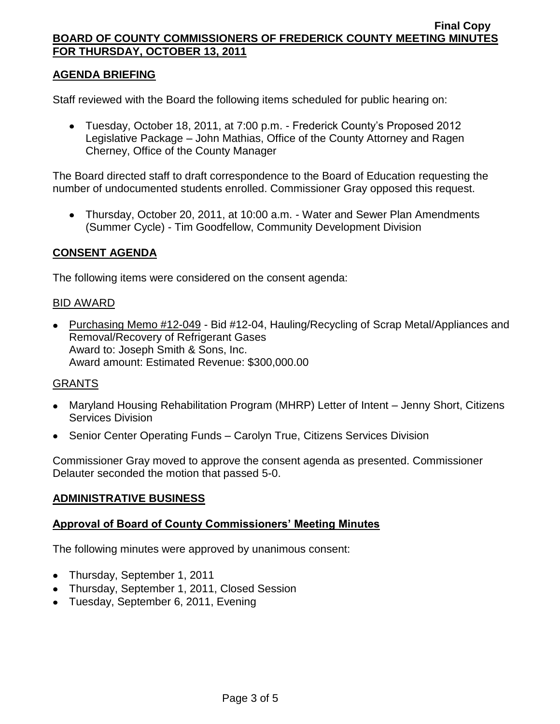## **AGENDA BRIEFING**

Staff reviewed with the Board the following items scheduled for public hearing on:

Tuesday, October 18, 2011, at 7:00 p.m. - Frederick County's Proposed 2012 Legislative Package – John Mathias, Office of the County Attorney and Ragen Cherney, Office of the County Manager

The Board directed staff to draft correspondence to the Board of Education requesting the number of undocumented students enrolled. Commissioner Gray opposed this request.

Thursday, October 20, 2011, at 10:00 a.m. - Water and Sewer Plan Amendments (Summer Cycle) - Tim Goodfellow, Community Development Division

## **CONSENT AGENDA**

The following items were considered on the consent agenda:

#### BID AWARD

• Purchasing Memo #12-049 - Bid #12-04, Hauling/Recycling of Scrap Metal/Appliances and Removal/Recovery of Refrigerant Gases Award to: Joseph Smith & Sons, Inc. Award amount: Estimated Revenue: \$300,000.00

### GRANTS

- Maryland Housing Rehabilitation Program (MHRP) Letter of Intent Jenny Short, Citizens Services Division
- Senior Center Operating Funds Carolyn True, Citizens Services Division

Commissioner Gray moved to approve the consent agenda as presented. Commissioner Delauter seconded the motion that passed 5-0.

### **ADMINISTRATIVE BUSINESS**

### **Approval of Board of County Commissioners' Meeting Minutes**

The following minutes were approved by unanimous consent:

- Thursday, September 1, 2011
- Thursday, September 1, 2011, Closed Session
- Tuesday, September 6, 2011, Evening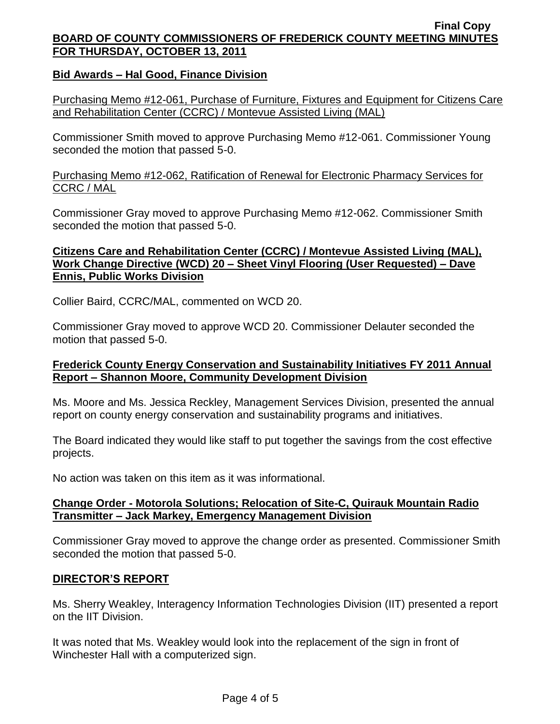### **Bid Awards – Hal Good, Finance Division**

Purchasing Memo #12-061, Purchase of Furniture, Fixtures and Equipment for Citizens Care and Rehabilitation Center (CCRC) / Montevue Assisted Living (MAL)

Commissioner Smith moved to approve Purchasing Memo #12-061. Commissioner Young seconded the motion that passed 5-0.

## Purchasing Memo #12-062, Ratification of Renewal for Electronic Pharmacy Services for CCRC / MAL

Commissioner Gray moved to approve Purchasing Memo #12-062. Commissioner Smith seconded the motion that passed 5-0.

### **Citizens Care and Rehabilitation Center (CCRC) / Montevue Assisted Living (MAL), Work Change Directive (WCD) 20 – Sheet Vinyl Flooring (User Requested) – Dave Ennis, Public Works Division**

Collier Baird, CCRC/MAL, commented on WCD 20.

Commissioner Gray moved to approve WCD 20. Commissioner Delauter seconded the motion that passed 5-0.

## **Frederick County Energy Conservation and Sustainability Initiatives FY 2011 Annual Report – Shannon Moore, Community Development Division**

Ms. Moore and Ms. Jessica Reckley, Management Services Division, presented the annual report on county energy conservation and sustainability programs and initiatives.

The Board indicated they would like staff to put together the savings from the cost effective projects.

No action was taken on this item as it was informational.

### **Change Order - Motorola Solutions; Relocation of Site-C, Quirauk Mountain Radio Transmitter – Jack Markey, Emergency Management Division**

Commissioner Gray moved to approve the change order as presented. Commissioner Smith seconded the motion that passed 5-0.

### **DIRECTOR'S REPORT**

Ms. Sherry Weakley, Interagency Information Technologies Division (IIT) presented a report on the IIT Division.

It was noted that Ms. Weakley would look into the replacement of the sign in front of Winchester Hall with a computerized sign.